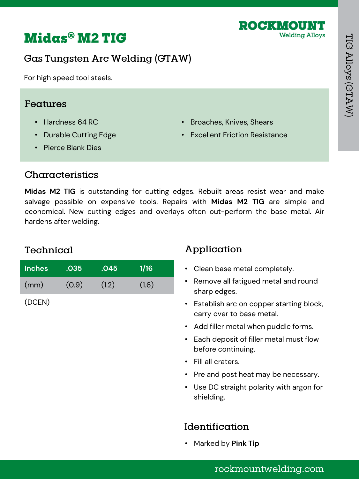



### Gas Tungsten Arc Welding (GTAW)

For high speed tool steels.

#### Features

- Hardness 64 RC
- Durable Cutting Edge
- Pierce Blank Dies
- Broaches, Knives, Shears
- **Excellent Friction Resistance**

#### Characteristics

**Midas M2 TIG** is outstanding for cutting edges. Rebuilt areas resist wear and make salvage possible on expensive tools. Repairs with **Midas M2 TIG** are simple and economical. New cutting edges and overlays often out-perform the base metal. Air hardens after welding.

### Technical

(DCEN)

| <b>Inches</b> | .035  | .045  | <b>1/16</b> |
|---------------|-------|-------|-------------|
| (mm)          | (0.9) | (1.2) | (1.6)       |
|               |       |       |             |

# Application

- Clean base metal completely.
- Remove all fatigued metal and round sharp edges.
- Establish arc on copper starting block, carry over to base metal.
- Add filler metal when puddle forms.
- Each deposit of filler metal must flow before continuing.
- Fill all craters.
- Pre and post heat may be necessary.
- Use DC straight polarity with argon for shielding.

### Identification

• Marked by **Pink Tip**

### rockmountwelding.com